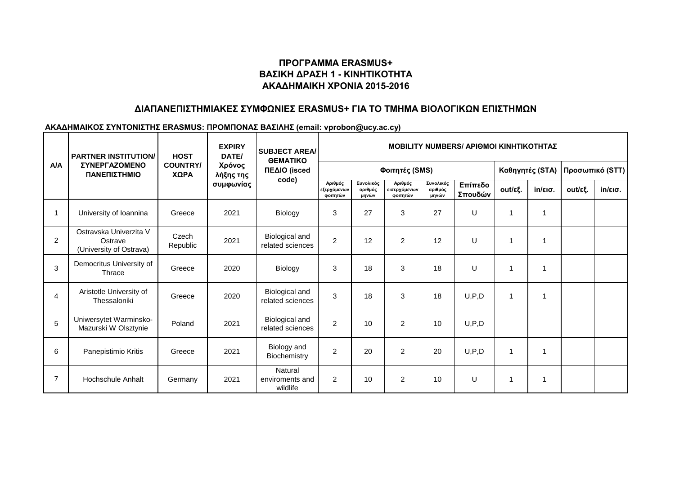## **ΠΡΟΓΡΑΜΜΑ ERASMUS+ ΒΑΣΙΚΗ ΔΡΑΣΗ 1 - ΚΙΝΗΤΙΚΟΤΗΤΑ ΑΚΑΔΗΜΑΙΚΗ ΧΡΟΝΙΑ 2015-2016**

## **ΔΙΑΠΑΝΕΠΙΣΤΗΜΙΑΚΕΣ ΣΥΜΦΩΝΙΕΣ ERASMUS+ ΓΙΑ ΤΟ ΤΜΗΜΑ ΒΙΟΛΟΓΙΚΩΝ ΕΠΙΣΤΗΜΩΝ**

### **ΑΚΑΔΗΜΑΙΚΟΣ ΣΥΝΤΟΝΙΣΤΗΣ ERASMUS: ΠΡΟΜΠΟΝΑΣ ΒΑΣΙΛΗΣ (email: vprobon@ucy.ac.cy)**

| A/A            | <b>PARTNER INSTITUTION/</b><br>ΣΥΝΕΡΓΑΖΟΜΕΝΟ<br>ΠΑΝΕΠΙΣΤΗΜΙΟ | <b>HOST</b><br><b>COUNTRY/</b><br>XΩPA | <b>EXPIRY</b><br>DATE/<br>Χρόνος<br>λήξης της<br>συμφωνίας | <b>SUBJECT AREA/</b><br><b>OEMATIKO</b><br>ΠΕΔΙΟ (isced<br>code) | <b>MOBILITY NUMBERS/ ΑΡΙΘΜΟΙ ΚΙΝΗΤΙΚΟΤΗΤΑΣ</b> |                               |                                     |                               |                    |                          |                   |                 |                   |  |
|----------------|--------------------------------------------------------------|----------------------------------------|------------------------------------------------------------|------------------------------------------------------------------|------------------------------------------------|-------------------------------|-------------------------------------|-------------------------------|--------------------|--------------------------|-------------------|-----------------|-------------------|--|
|                |                                                              |                                        |                                                            |                                                                  | Φοιτητές (SMS)                                 |                               |                                     |                               |                    | Καθηγητές (STA)          |                   | Προσωπικό (STT) |                   |  |
|                |                                                              |                                        |                                                            |                                                                  | Αριθμός<br>εξερχόμενων<br>φοιτητών             | Συνολικός<br>αριθμός<br>μηνών | Αριθμός<br>εισερχόμενων<br>φοιτητών | Συνολικός<br>αριθμός<br>μηνών | Επίπεδο<br>Σπουδών | out/εξ.                  | $in/\epsilon$ ισ. | out/εξ.         | $in/\epsilon$ ισ. |  |
|                | University of Ioannina                                       | Greece                                 | 2021                                                       | Biology                                                          | 3                                              | 27                            | 3                                   | 27                            | U                  | $\overline{\phantom{a}}$ |                   |                 |                   |  |
| $\overline{2}$ | Ostravska Univerzita V<br>Ostrave<br>(University of Ostrava) | Czech<br>Republic                      | 2021                                                       | Biological and<br>related sciences                               | 2                                              | 12                            | $\overline{2}$                      | 12                            | U                  | -1                       |                   |                 |                   |  |
| 3              | Democritus University of<br>Thrace                           | Greece                                 | 2020                                                       | Biology                                                          | 3                                              | 18                            | 3                                   | 18                            | U                  | $\overline{\phantom{a}}$ |                   |                 |                   |  |
| $\overline{4}$ | Aristotle University of<br>Thessaloniki                      | Greece                                 | 2020                                                       | Biological and<br>related sciences                               | 3                                              | 18                            | 3                                   | 18                            | U, P, D            | -1                       |                   |                 |                   |  |
| $\overline{5}$ | Uniwersytet Warminsko-<br>Mazurski W Olsztynie               | Poland                                 | 2021                                                       | Biological and<br>related sciences                               | $\overline{2}$                                 | 10                            | $\overline{2}$                      | 10                            | U, P, D            |                          |                   |                 |                   |  |
| 6              | Panepistimio Kritis                                          | Greece                                 | 2021                                                       | Biology and<br>Biochemistry                                      | 2                                              | 20                            | $\overline{2}$                      | 20                            | U, P, D            | -1                       |                   |                 |                   |  |
| $\overline{7}$ | Hochschule Anhalt                                            | Germany                                | 2021                                                       | Natural<br>enviroments and<br>wildlife                           | 2                                              | 10                            | $\overline{2}$                      | 10                            | U                  | -1                       |                   |                 |                   |  |